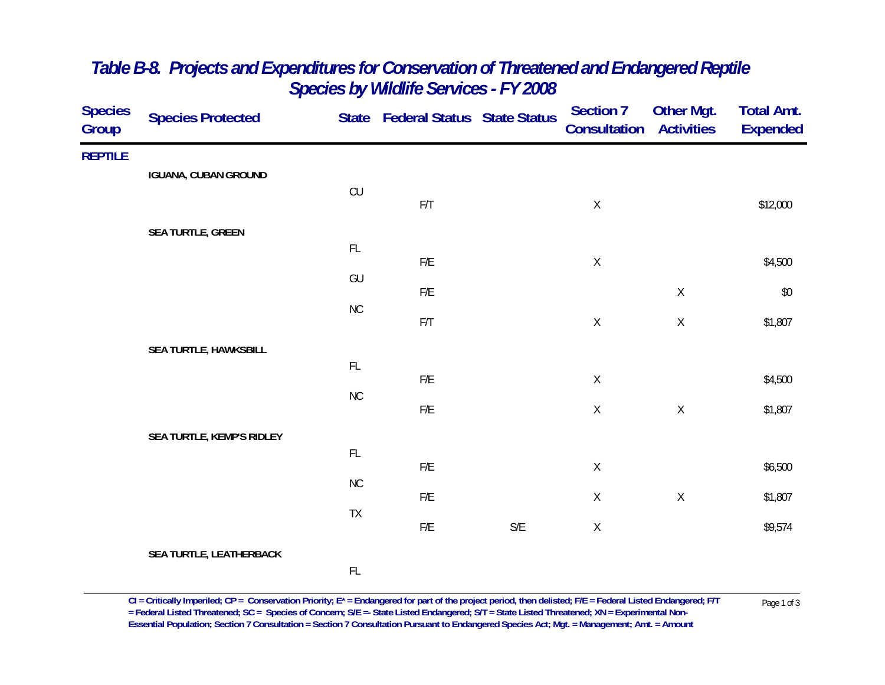| <b>Species</b><br>Group | <b>Species Protected</b>    |               | State Federal Status State Status |                         | <b>Section 7</b><br><b>Consultation Activities</b> | Other Mgt.  | <b>Total Amt.</b><br><b>Expended</b> |
|-------------------------|-----------------------------|---------------|-----------------------------------|-------------------------|----------------------------------------------------|-------------|--------------------------------------|
| <b>REPTILE</b>          |                             |               |                                   |                         |                                                    |             |                                      |
|                         | <b>IGUANA, CUBAN GROUND</b> | CU            |                                   |                         |                                                    |             |                                      |
|                         |                             |               | F/T                               |                         | $\mathsf X$                                        |             | \$12,000                             |
|                         | SEA TURTLE, GREEN           |               |                                   |                         |                                                    |             |                                      |
|                         |                             | $\mathsf{FL}$ | ${\sf F/E}$                       |                         | $\mathsf X$                                        |             | \$4,500                              |
|                         |                             | GU            |                                   |                         |                                                    |             |                                      |
|                         |                             | NC            | F/E                               |                         |                                                    | $\mathsf X$ | $$0$$                                |
|                         |                             |               | F/T                               |                         | $\mathsf X$                                        | $\mathsf X$ | \$1,807                              |
|                         | SEA TURTLE, HAWKSBILL       |               |                                   |                         |                                                    |             |                                      |
|                         |                             | $\mathsf{FL}$ | ${\sf F/E}$                       |                         | $\mathsf X$                                        |             | \$4,500                              |
|                         |                             | $\rm NC$      | $\mathsf{F}/\mathsf{E}$           |                         | $\mathsf X$                                        | $\mathsf X$ | \$1,807                              |
|                         |                             |               |                                   |                         |                                                    |             |                                      |
|                         | SEA TURTLE, KEMP'S RIDLEY   | FL            |                                   |                         |                                                    |             |                                      |
|                         |                             | $\rm NC$      | F/E                               |                         | $\mathsf X$                                        |             | \$6,500                              |
|                         |                             |               | F/E                               |                         | $\mathsf X$                                        | $\mathsf X$ | \$1,807                              |
|                         |                             | TX            | $\mathsf{F}/\mathsf{E}$           | $\mathsf{S}/\mathsf{E}$ | $\mathsf X$                                        |             | \$9,574                              |
|                         | SEA TURTLE, LEATHERBACK     |               |                                   |                         |                                                    |             |                                      |
|                         |                             | $\mathsf{FL}$ |                                   |                         |                                                    |             |                                      |
|                         |                             |               |                                   |                         |                                                    |             |                                      |

## *Table B-8. Projects and Expenditures for Conservation of Threatened and Endangered Reptile Species by Wildlife Services - FY 2008*

 $CI = Critically$  Imperiled;  $CP = \text{Conservation Priority}; E^* = \text{Endangered for part of the project period, then deleted; F/E = Federal listed Endanged; F/T  
= Federal listed Thread, SC = Species of \text{Concern}; S/E = State listed Endanged; S/T = State Listed Thread, XN = Experimental Non-$ **Essential Population; Section 7 Consultation = Section 7 Consultation Pursuant to Endangered Species Act; Mgt. = Management; Amt. = Amount**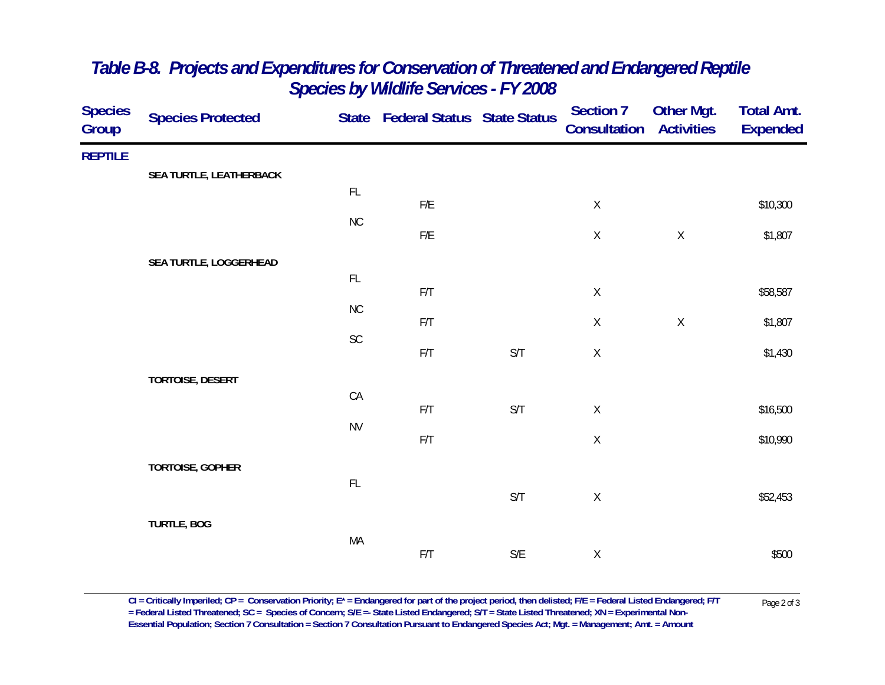| <b>Species</b><br>Group | <b>Species Protected</b> |               | State Federal Status State Status |                         | <b>Section 7</b><br>Consultation | <b>Other Mgt.</b><br><b>Activities</b> | <b>Total Amt.</b><br><b>Expended</b> |
|-------------------------|--------------------------|---------------|-----------------------------------|-------------------------|----------------------------------|----------------------------------------|--------------------------------------|
| <b>REPTILE</b>          |                          |               |                                   |                         |                                  |                                        |                                      |
|                         | SEA TURTLE, LEATHERBACK  | FL            |                                   |                         |                                  |                                        |                                      |
|                         |                          |               | ${\sf F/E}$                       |                         | $\mathsf X$                      |                                        | \$10,300                             |
|                         |                          | <b>NC</b>     | ${\sf F/E}$                       |                         | $\mathsf X$                      | $\mathsf X$                            | \$1,807                              |
|                         | SEA TURTLE, LOGGERHEAD   |               |                                   |                         |                                  |                                        |                                      |
|                         |                          | $\mathsf{FL}$ |                                   |                         |                                  |                                        |                                      |
|                         |                          | <b>NC</b>     | F/T                               |                         | $\mathsf X$                      |                                        | \$58,587                             |
|                         |                          |               | F/T                               |                         | $\mathsf X$                      | $\mathsf X$                            | \$1,807                              |
|                         |                          | $\mathsf{SC}$ | $\mathsf{F}/\mathsf{T}$           | S/T                     | $\mathsf X$                      |                                        | \$1,430                              |
|                         | <b>TORTOISE, DESERT</b>  |               |                                   |                         |                                  |                                        |                                      |
|                         |                          | ${\sf CA}$    |                                   |                         |                                  |                                        |                                      |
|                         |                          | <b>NV</b>     | F/T                               | S/T                     | $\mathsf X$                      |                                        | \$16,500                             |
|                         |                          |               | F/T                               |                         | $\mathsf X$                      |                                        | \$10,990                             |
|                         | TORTOISE, GOPHER         |               |                                   |                         |                                  |                                        |                                      |
|                         |                          | $\mathsf{FL}$ |                                   | $\mathsf{S}/\mathsf{T}$ | $\mathsf X$                      |                                        | \$52,453                             |
|                         | <b>TURTLE, BOG</b>       |               |                                   |                         |                                  |                                        |                                      |
|                         |                          | MA            |                                   |                         |                                  |                                        |                                      |
|                         |                          |               | $\mathsf{F}/\mathsf{T}$           | $\mathsf{S}/\mathsf{E}$ | $\mathsf X$                      |                                        | \$500                                |

## *Table B-8. Projects and Expenditures for Conservation of Threatened and Endangered Reptile Species by Wildlife Services - FY 2008*

 $CI = Critically$  Imperiled;  $CP = \text{Conservation Priority}; E^* = \text{Endangered for part of the project period, then deleted; F/E = Federal Listed Endanged; F/T  
= Federal Listed Threated, SC = Species of Concern; S/E = State Listed Endanged; S/T = State Listed Threated; XN = Experimental Non-$ **Essential Population; Section 7 Consultation = Section 7 Consultation Pursuant to Endangered Species Act; Mgt. = Management; Amt. = Amount**